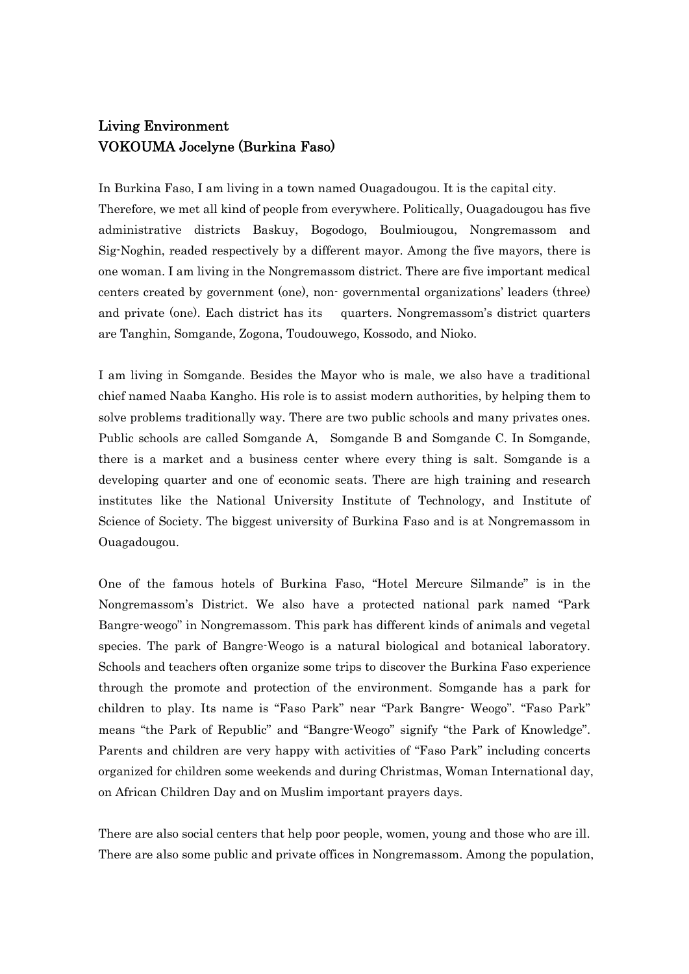## Living Environment VOKOUMA Jocelyne (Burkina Faso)

In Burkina Faso, I am living in a town named Ouagadougou. It is the capital city. Therefore, we met all kind of people from everywhere. Politically, Ouagadougou has five administrative districts Baskuy, Bogodogo, Boulmiougou, Nongremassom and Sig-Noghin, readed respectively by a different mayor. Among the five mayors, there is one woman. I am living in the Nongremassom district. There are five important medical centers created by government (one), non- governmental organizations' leaders (three) and private (one). Each district has its quarters. Nongremassom's district quarters are Tanghin, Somgande, Zogona, Toudouwego, Kossodo, and Nioko.

I am living in Somgande. Besides the Mayor who is male, we also have a traditional chief named Naaba Kangho. His role is to assist modern authorities, by helping them to solve problems traditionally way. There are two public schools and many privates ones. Public schools are called Somgande A, Somgande B and Somgande C. In Somgande, there is a market and a business center where every thing is salt. Somgande is a developing quarter and one of economic seats. There are high training and research institutes like the National University Institute of Technology, and Institute of Science of Society. The biggest university of Burkina Faso and is at Nongremassom in Ouagadougou.

One of the famous hotels of Burkina Faso, "Hotel Mercure Silmande" is in the Nongremassom's District. We also have a protected national park named "Park Bangre-weogo" in Nongremassom. This park has different kinds of animals and vegetal species. The park of Bangre-Weogo is a natural biological and botanical laboratory. Schools and teachers often organize some trips to discover the Burkina Faso experience through the promote and protection of the environment. Somgande has a park for children to play. Its name is "Faso Park" near "Park Bangre- Weogo". "Faso Park" means "the Park of Republic" and "Bangre-Weogo" signify "the Park of Knowledge". Parents and children are very happy with activities of "Faso Park" including concerts organized for children some weekends and during Christmas, Woman International day, on African Children Day and on Muslim important prayers days.

There are also social centers that help poor people, women, young and those who are ill. There are also some public and private offices in Nongremassom. Among the population,